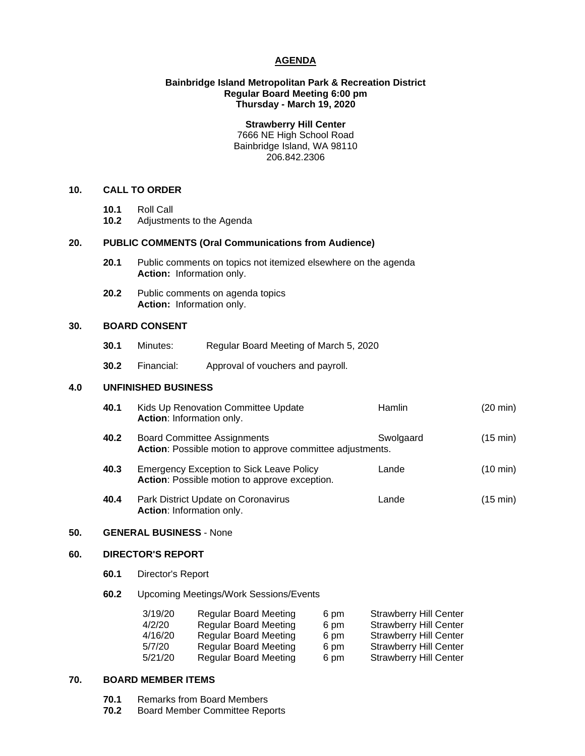## **AGENDA**

## **Bainbridge Island Metropolitan Park & Recreation District Regular Board Meeting 6:00 pm Thursday - March 19, 2020**

**Strawberry Hill Center** 7666 NE High School Road Bainbridge Island, WA 98110 206.842.2306

## **10. CALL TO ORDER**

- **10.1** Roll Call
- **10.2** Adjustments to the Agenda

# **20. PUBLIC COMMENTS (Oral Communications from Audience)**

- **20.1** Public comments on topics not itemized elsewhere on the agenda **Action:** Information only.
- **20.2** Public comments on agenda topics **Action:** Information only.

## **30. BOARD CONSENT**

- **30.1** Minutes: Regular Board Meeting of March 5, 2020
- **30.2** Financial: Approval of vouchers and payroll.

#### **4.0 UNFINISHED BUSINESS**

| 40.1 | Kids Up Renovation Committee Update<br><b>Action:</b> Information only.                         | <b>Hamlin</b> | $(20 \text{ min})$ |
|------|-------------------------------------------------------------------------------------------------|---------------|--------------------|
| 40.2 | <b>Board Committee Assignments</b><br>Action: Possible motion to approve committee adjustments. | Swolgaard     | $(15 \text{ min})$ |

- **40.3** Emergency Exception to Sick Leave Policy Lande(10 min) **Action**: Possible motion to approve exception.
- **40.4** Park District Update on Coronavirus Lande(15 min) **Action**: Information only.

## **50. GENERAL BUSINESS** - None

## **60. DIRECTOR'S REPORT**

- **60.1** Director's Report
- **60.2** Upcoming Meetings/Work Sessions/Events

| 3/19/20 | <b>Regular Board Meeting</b> | 6 pm | <b>Strawberry Hill Center</b> |
|---------|------------------------------|------|-------------------------------|
| 4/2/20  | <b>Regular Board Meeting</b> | 6 pm | <b>Strawberry Hill Center</b> |
| 4/16/20 | <b>Regular Board Meeting</b> | 6 pm | <b>Strawberry Hill Center</b> |
| 5/7/20  | <b>Regular Board Meeting</b> | 6 pm | <b>Strawberry Hill Center</b> |
| 5/21/20 | <b>Regular Board Meeting</b> | 6 pm | <b>Strawberry Hill Center</b> |

## **70. BOARD MEMBER ITEMS**

- **70.1** Remarks from Board Members<br>**70.2** Board Member Committee Rep
- **70.2** Board Member Committee Reports